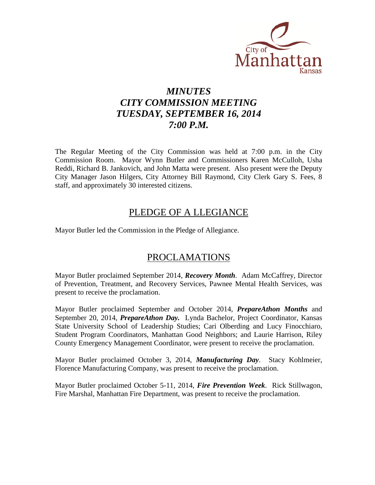

# *MINUTES CITY COMMISSION MEETING TUESDAY, SEPTEMBER 16, 2014 7:00 P.M.*

The Regular Meeting of the City Commission was held at 7:00 p.m. in the City Commission Room. Mayor Wynn Butler and Commissioners Karen McCulloh, Usha Reddi, Richard B. Jankovich, and John Matta were present. Also present were the Deputy City Manager Jason Hilgers, City Attorney Bill Raymond, City Clerk Gary S. Fees, 8 staff, and approximately 30 interested citizens.

## PLEDGE OF A LLEGIANCE

Mayor Butler led the Commission in the Pledge of Allegiance.

# PROCLAMATIONS

Mayor Butler proclaimed September 2014, *Recovery Month*. Adam McCaffrey, Director of Prevention, Treatment, and Recovery Services, Pawnee Mental Health Services, was present to receive the proclamation.

Mayor Butler proclaimed September and October 2014, *PrepareAthon Months* and September 20, 2014, *PrepareAthon Day.* Lynda Bachelor, Project Coordinator, Kansas State University School of Leadership Studies; Cari Olberding and Lucy Finocchiaro, Student Program Coordinators, Manhattan Good Neighbors; and Laurie Harrison, Riley County Emergency Management Coordinator, were present to receive the proclamation.

Mayor Butler proclaimed October 3, 2014, *Manufacturing Day*. Stacy Kohlmeier, Florence Manufacturing Company, was present to receive the proclamation.

Mayor Butler proclaimed October 5-11, 2014, *Fire Prevention Week*. Rick Stillwagon, Fire Marshal, Manhattan Fire Department, was present to receive the proclamation.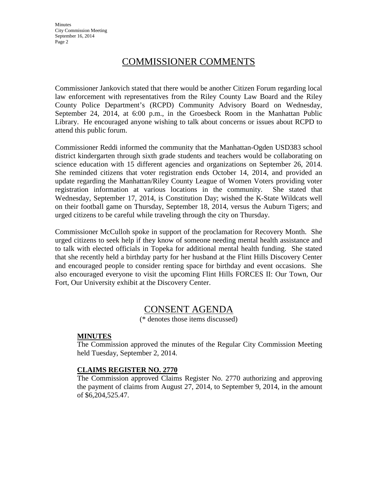# COMMISSIONER COMMENTS

Commissioner Jankovich stated that there would be another Citizen Forum regarding local law enforcement with representatives from the Riley County Law Board and the Riley County Police Department's (RCPD) Community Advisory Board on Wednesday, September 24, 2014, at 6:00 p.m., in the Groesbeck Room in the Manhattan Public Library. He encouraged anyone wishing to talk about concerns or issues about RCPD to attend this public forum.

Commissioner Reddi informed the community that the Manhattan-Ogden USD383 school district kindergarten through sixth grade students and teachers would be collaborating on science education with 15 different agencies and organizations on September 26, 2014. She reminded citizens that voter registration ends October 14, 2014, and provided an update regarding the Manhattan/Riley County League of Women Voters providing voter registration information at various locations in the community. She stated that Wednesday, September 17, 2014, is Constitution Day; wished the K-State Wildcats well on their football game on Thursday, September 18, 2014, versus the Auburn Tigers; and urged citizens to be careful while traveling through the city on Thursday.

Commissioner McCulloh spoke in support of the proclamation for Recovery Month. She urged citizens to seek help if they know of someone needing mental health assistance and to talk with elected officials in Topeka for additional mental health funding. She stated that she recently held a birthday party for her husband at the Flint Hills Discovery Center and encouraged people to consider renting space for birthday and event occasions. She also encouraged everyone to visit the upcoming Flint Hills FORCES II: Our Town, Our Fort, Our University exhibit at the Discovery Center.

## CONSENT AGENDA

(\* denotes those items discussed)

#### **MINUTES**

The Commission approved the minutes of the Regular City Commission Meeting held Tuesday, September 2, 2014.

#### **CLAIMS REGISTER NO. 2770**

The Commission approved Claims Register No. 2770 authorizing and approving the payment of claims from August 27, 2014, to September 9, 2014, in the amount of \$6,204,525.47.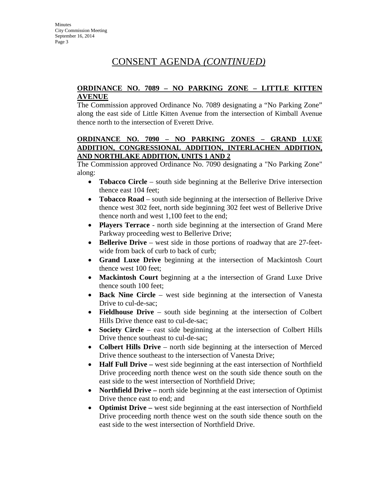#### **ORDINANCE NO. 7089 – NO PARKING ZONE – LITTLE KITTEN AVENUE**

The Commission approved Ordinance No. 7089 designating a "No Parking Zone" along the east side of Little Kitten Avenue from the intersection of Kimball Avenue thence north to the intersection of Everett Drive.

### **ORDINANCE NO. 7090 – NO PARKING ZONES – GRAND LUXE ADDITION, CONGRESSIONAL ADDITION, INTERLACHEN ADDITION, AND NORTHLAKE ADDITION, UNITS 1 AND 2**

The Commission approved Ordinance No. 7090 designating a "No Parking Zone" along:

- **Tobacco Circle** south side beginning at the Bellerive Drive intersection thence east 104 feet;
- **Tobacco Road** south side beginning at the intersection of Bellerive Drive thence west 302 feet, north side beginning 302 feet west of Bellerive Drive thence north and west 1,100 feet to the end;
- **Players Terrace**  north side beginning at the intersection of Grand Mere Parkway proceeding west to Bellerive Drive;
- **Bellerive Drive** west side in those portions of roadway that are 27-feetwide from back of curb to back of curb;
- **Grand Luxe Drive** beginning at the intersection of Mackintosh Court thence west 100 feet;
- **Mackintosh Court** beginning at a the intersection of Grand Luxe Drive thence south 100 feet;
- **Back Nine Circle** west side beginning at the intersection of Vanesta Drive to cul-de-sac;
- **Fieldhouse Drive** south side beginning at the intersection of Colbert Hills Drive thence east to cul-de-sac;
- **Society Circle** east side beginning at the intersection of Colbert Hills Drive thence southeast to cul-de-sac;
- **Colbert Hills Drive** north side beginning at the intersection of Merced Drive thence southeast to the intersection of Vanesta Drive;
- **Half Full Drive** west side beginning at the east intersection of Northfield Drive proceeding north thence west on the south side thence south on the east side to the west intersection of Northfield Drive;
- **Northfield Drive** north side beginning at the east intersection of Optimist Drive thence east to end; and
- **Optimist Drive –** west side beginning at the east intersection of Northfield Drive proceeding north thence west on the south side thence south on the east side to the west intersection of Northfield Drive.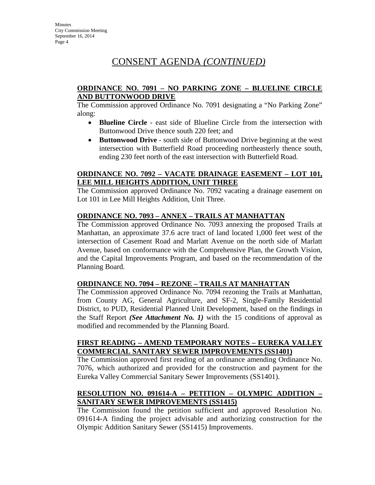#### **ORDINANCE NO. 7091 – NO PARKING ZONE – BLUELINE CIRCLE AND BUTTONWOOD DRIVE**

The Commission approved Ordinance No. 7091 designating a "No Parking Zone" along:

- **Blueline Circle** east side of Blueline Circle from the intersection with Buttonwood Drive thence south 220 feet; and
- **Buttonwood Drive** south side of Buttonwood Drive beginning at the west intersection with Butterfield Road proceeding northeasterly thence south, ending 230 feet north of the east intersection with Butterfield Road.

#### **ORDINANCE NO. 7092 – VACATE DRAINAGE EASEMENT – LOT 101, LEE MILL HEIGHTS ADDITION, UNIT THREE**

The Commission approved Ordinance No. 7092 vacating a drainage easement on Lot 101 in Lee Mill Heights Addition, Unit Three.

### **ORDINANCE NO. 7093 – ANNEX – TRAILS AT MANHATTAN**

The Commission approved Ordinance No. 7093 annexing the proposed Trails at Manhattan, an approximate 37.6 acre tract of land located 1,000 feet west of the intersection of Casement Road and Marlatt Avenue on the north side of Marlatt Avenue, based on conformance with the Comprehensive Plan, the Growth Vision, and the Capital Improvements Program, and based on the recommendation of the Planning Board.

### **ORDINANCE NO. 7094 – REZONE – TRAILS AT MANHATTAN**

The Commission approved Ordinance No. 7094 rezoning the Trails at Manhattan, from County AG, General Agriculture, and SF-2, Single-Family Residential District, to PUD, Residential Planned Unit Development, based on the findings in the Staff Report *(See Attachment No. 1)* with the 15 conditions of approval as modified and recommended by the Planning Board.

#### **FIRST READING – AMEND TEMPORARY NOTES – EUREKA VALLEY COMMERCIAL SANITARY SEWER IMPROVEMENTS (SS1401)**

The Commission approved first reading of an ordinance amending Ordinance No. 7076, which authorized and provided for the construction and payment for the Eureka Valley Commercial Sanitary Sewer Improvements (SS1401).

## **RESOLUTION NO. 091614-A – PETITION – OLYMPIC ADDITION – SANITARY SEWER IMPROVEMENTS (SS1415)**

The Commission found the petition sufficient and approved Resolution No. 091614-A finding the project advisable and authorizing construction for the Olympic Addition Sanitary Sewer (SS1415) Improvements.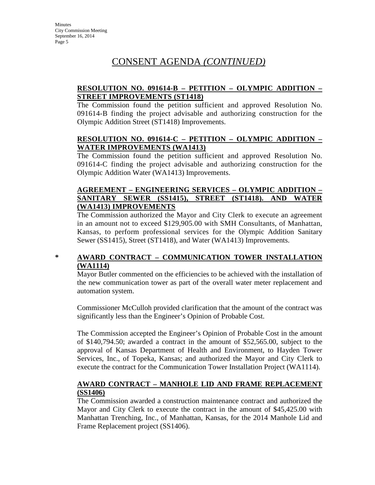## **RESOLUTION NO. 091614-B – PETITION – OLYMPIC ADDITION – STREET IMPROVEMENTS (ST1418)**

The Commission found the petition sufficient and approved Resolution No. 091614-B finding the project advisable and authorizing construction for the Olympic Addition Street (ST1418) Improvements.

#### **RESOLUTION NO. 091614-C – PETITION – OLYMPIC ADDITION – WATER IMPROVEMENTS (WA1413)**

The Commission found the petition sufficient and approved Resolution No. 091614-C finding the project advisable and authorizing construction for the Olympic Addition Water (WA1413) Improvements.

### **AGREEMENT – ENGINEERING SERVICES – OLYMPIC ADDITION – SANITARY SEWER (SS1415), STREET (ST1418). AND WATER (WA1413) IMPROVEMENTS**

The Commission authorized the Mayor and City Clerk to execute an agreement in an amount not to exceed \$129,905.00 with SMH Consultants, of Manhattan, Kansas, to perform professional services for the Olympic Addition Sanitary Sewer (SS1415), Street (ST1418), and Water (WA1413) Improvements.

### **\* AWARD CONTRACT – COMMUNICATION TOWER INSTALLATION (WA1114)**

Mayor Butler commented on the efficiencies to be achieved with the installation of the new communication tower as part of the overall water meter replacement and automation system.

Commissioner McCulloh provided clarification that the amount of the contract was significantly less than the Engineer's Opinion of Probable Cost.

The Commission accepted the Engineer's Opinion of Probable Cost in the amount of \$140,794.50; awarded a contract in the amount of \$52,565.00, subject to the approval of Kansas Department of Health and Environment, to Hayden Tower Services, Inc., of Topeka, Kansas; and authorized the Mayor and City Clerk to execute the contract for the Communication Tower Installation Project (WA1114).

### **AWARD CONTRACT – MANHOLE LID AND FRAME REPLACEMENT (SS1406)**

The Commission awarded a construction maintenance contract and authorized the Mayor and City Clerk to execute the contract in the amount of \$45,425.00 with Manhattan Trenching, Inc., of Manhattan, Kansas, for the 2014 Manhole Lid and Frame Replacement project (SS1406).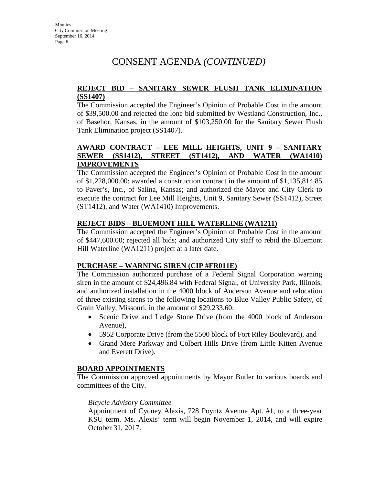### **REJECT BID – SANITARY SEWER FLUSH TANK ELIMINATION (SS1407)**

The Commission accepted the Engineer's Opinion of Probable Cost in the amount of \$39,500.00 and rejected the lone bid submitted by Westland Construction, Inc., of Basehor, Kansas, in the amount of \$103,250.00 for the Sanitary Sewer Flush Tank Elimination project (SS1407).

## **AWARD CONTRACT – LEE MILL HEIGHTS, UNIT 9 – SANITARY SEWER (SS1412), STREET (ST1412), AND WATER (WA1410) IMPROVEMENTS**

The Commission accepted the Engineer's Opinion of Probable Cost in the amount of \$1,228,000.00; awarded a construction contract in the amount of \$1,135,814.85 to Paver's, Inc., of Salina, Kansas; and authorized the Mayor and City Clerk to execute the contract for Lee Mill Heights, Unit 9, Sanitary Sewer (SS1412), Street (ST1412), and Water (WA1410) Improvements.

## **REJECT BIDS – BLUEMONT HILL WATERLINE (WA1211)**

The Commission accepted the Engineer's Opinion of Probable Cost in the amount of \$447,600.00; rejected all bids; and authorized City staff to rebid the Bluemont Hill Waterline (WA1211) project at a later date.

### **PURCHASE – WARNING SIREN (CIP #FR011E)**

The Commission authorized purchase of a Federal Signal Corporation warning siren in the amount of \$24,496.84 with Federal Signal, of University Park, Illinois; and authorized installation in the 4000 block of Anderson Avenue and relocation of three existing sirens to the following locations to Blue Valley Public Safety, of Grain Valley, Missouri, in the amount of \$29,233.60:

- Scenic Drive and Ledge Stone Drive (from the 4000 block of Anderson Avenue),
- 5952 Corporate Drive (from the 5500 block of Fort Riley Boulevard), and
- Grand Mere Parkway and Colbert Hills Drive (from Little Kitten Avenue and Everett Drive).

## **BOARD APPOINTMENTS**

The Commission approved appointments by Mayor Butler to various boards and committees of the City.

### *Bicycle Advisory Committee*

Appointment of Cydney Alexis, 728 Poyntz Avenue Apt. #1, to a three-year KSU term. Ms. Alexis' term will begin November 1, 2014, and will expire October 31, 2017.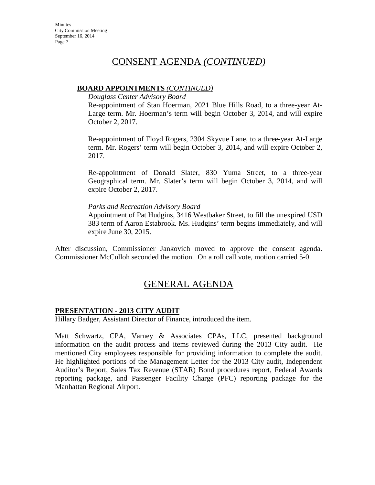#### **BOARD APPOINTMENTS** *(CONTINUED)*

*Douglass Center Advisory Board*

Re-appointment of Stan Hoerman, 2021 Blue Hills Road, to a three-year At-Large term. Mr. Hoerman's term will begin October 3, 2014, and will expire October 2, 2017.

Re-appointment of Floyd Rogers, 2304 Skyvue Lane, to a three-year At-Large term. Mr. Rogers' term will begin October 3, 2014, and will expire October 2, 2017.

Re-appointment of Donald Slater, 830 Yuma Street, to a three-year Geographical term. Mr. Slater's term will begin October 3, 2014, and will expire October 2, 2017.

#### *Parks and Recreation Advisory Board*

Appointment of Pat Hudgins, 3416 Westbaker Street, to fill the unexpired USD 383 term of Aaron Estabrook. Ms. Hudgins' term begins immediately, and will expire June 30, 2015.

After discussion, Commissioner Jankovich moved to approve the consent agenda. Commissioner McCulloh seconded the motion. On a roll call vote, motion carried 5-0.

# GENERAL AGENDA

### **PRESENTATION - 2013 CITY AUDIT**

Hillary Badger, Assistant Director of Finance, introduced the item.

Matt Schwartz, CPA, Varney & Associates CPAs, LLC, presented background information on the audit process and items reviewed during the 2013 City audit. He mentioned City employees responsible for providing information to complete the audit. He highlighted portions of the Management Letter for the 2013 City audit, Independent Auditor's Report, Sales Tax Revenue (STAR) Bond procedures report, Federal Awards reporting package, and Passenger Facility Charge (PFC) reporting package for the Manhattan Regional Airport.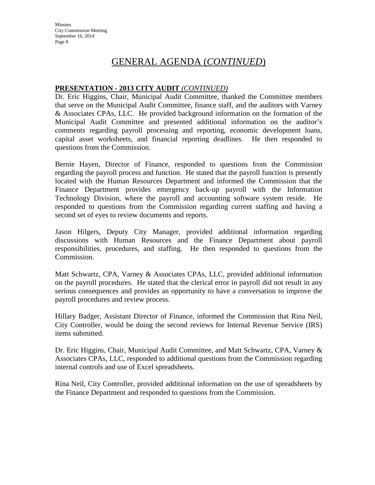# GENERAL AGENDA (*CONTINUED*)

## **PRESENTATION - 2013 CITY AUDIT** *(CONTINUED)*

Dr. Eric Higgins, Chair, Municipal Audit Committee, thanked the Committee members that serve on the Municipal Audit Committee, finance staff, and the auditors with Varney & Associates CPAs, LLC. He provided background information on the formation of the Municipal Audit Committee and presented additional information on the auditor's comments regarding payroll processing and reporting, economic development loans, capital asset worksheets, and financial reporting deadlines. He then responded to questions from the Commission.

Bernie Hayen, Director of Finance, responded to questions from the Commission regarding the payroll process and function. He stated that the payroll function is presently located with the Human Resources Department and informed the Commission that the Finance Department provides emergency back-up payroll with the Information Technology Division, where the payroll and accounting software system reside. He responded to questions from the Commission regarding current staffing and having a second set of eyes to review documents and reports.

Jason Hilgers, Deputy City Manager, provided additional information regarding discussions with Human Resources and the Finance Department about payroll responsibilities, procedures, and staffing. He then responded to questions from the Commission.

Matt Schwartz, CPA, Varney & Associates CPAs, LLC, provided additional information on the payroll procedures. He stated that the clerical error in payroll did not result in any serious consequences and provides an opportunity to have a conversation to improve the payroll procedures and review process.

Hillary Badger, Assistant Director of Finance, informed the Commission that Rina Neil, City Controller, would be doing the second reviews for Internal Revenue Service (IRS) items submitted.

Dr. Eric Higgins, Chair, Municipal Audit Committee, and Matt Schwartz, CPA, Varney & Associates CPAs, LLC, responded to additional questions from the Commission regarding internal controls and use of Excel spreadsheets.

Rina Neil, City Controller, provided additional information on the use of spreadsheets by the Finance Department and responded to questions from the Commission.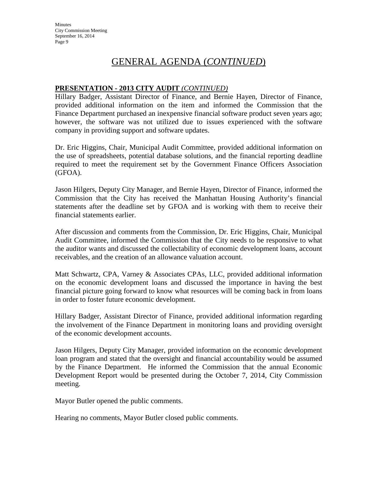# GENERAL AGENDA (*CONTINUED*)

## **PRESENTATION - 2013 CITY AUDIT** *(CONTINUED)*

Hillary Badger, Assistant Director of Finance, and Bernie Hayen, Director of Finance, provided additional information on the item and informed the Commission that the Finance Department purchased an inexpensive financial software product seven years ago; however, the software was not utilized due to issues experienced with the software company in providing support and software updates.

Dr. Eric Higgins, Chair, Municipal Audit Committee, provided additional information on the use of spreadsheets, potential database solutions, and the financial reporting deadline required to meet the requirement set by the Government Finance Officers Association (GFOA).

Jason Hilgers, Deputy City Manager, and Bernie Hayen, Director of Finance, informed the Commission that the City has received the Manhattan Housing Authority's financial statements after the deadline set by GFOA and is working with them to receive their financial statements earlier.

After discussion and comments from the Commission, Dr. Eric Higgins, Chair, Municipal Audit Committee, informed the Commission that the City needs to be responsive to what the auditor wants and discussed the collectability of economic development loans, account receivables, and the creation of an allowance valuation account.

Matt Schwartz, CPA, Varney & Associates CPAs, LLC, provided additional information on the economic development loans and discussed the importance in having the best financial picture going forward to know what resources will be coming back in from loans in order to foster future economic development.

Hillary Badger, Assistant Director of Finance, provided additional information regarding the involvement of the Finance Department in monitoring loans and providing oversight of the economic development accounts.

Jason Hilgers, Deputy City Manager, provided information on the economic development loan program and stated that the oversight and financial accountability would be assumed by the Finance Department. He informed the Commission that the annual Economic Development Report would be presented during the October 7, 2014, City Commission meeting.

Mayor Butler opened the public comments.

Hearing no comments, Mayor Butler closed public comments.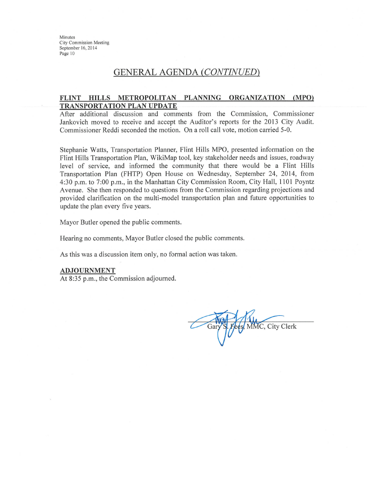## **GENERAL AGENDA (CONTINUED)**

#### FLINT HILLS METROPOLITAN PLANNING ORGANIZATION (MPO) **TRANSPORTATION PLAN UPDATE**

After additional discussion and comments from the Commission, Commissioner Jankovich moved to receive and accept the Auditor's reports for the 2013 City Audit. Commissioner Reddi seconded the motion. On a roll call vote, motion carried 5-0.

Stephanie Watts, Transportation Planner, Flint Hills MPO, presented information on the Flint Hills Transportation Plan, WikiMap tool, key stakeholder needs and issues, roadway level of service, and informed the community that there would be a Flint Hills Transportation Plan (FHTP) Open House on Wednesday, September 24, 2014, from 4:30 p.m. to 7:00 p.m., in the Manhattan City Commission Room, City Hall, 1101 Poyntz Avenue. She then responded to questions from the Commission regarding projections and provided clarification on the multi-model transportation plan and future opportunities to update the plan every five years.

Mayor Butler opened the public comments.

Hearing no comments, Mayor Butler closed the public comments.

As this was a discussion item only, no formal action was taken.

#### **ADJOURNMENT**

At 8:35 p.m., the Commission adjourned.

S. Fees, MMC, City Clerk Gary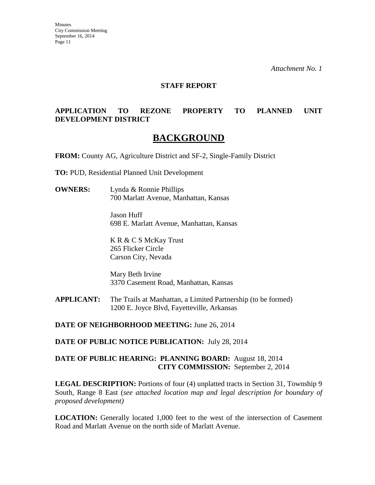*Attachment No. 1*

#### **STAFF REPORT**

## **APPLICATION TO REZONE PROPERTY TO PLANNED UNIT DEVELOPMENT DISTRICT**

## **BACKGROUND**

**FROM:** County AG, Agriculture District and SF-2, Single-Family District

**TO:** PUD, Residential Planned Unit Development

**OWNERS:** Lynda & Ronnie Phillips 700 Marlatt Avenue, Manhattan, Kansas

> Jason Huff 698 E. Marlatt Avenue, Manhattan, Kansas

K R & C S McKay Trust 265 Flicker Circle Carson City, Nevada

Mary Beth Irvine 3370 Casement Road, Manhattan, Kansas

**APPLICANT:** The Trails at Manhattan, a Limited Partnership (to be formed) 1200 E. Joyce Blvd, Fayetteville, Arkansas

**DATE OF NEIGHBORHOOD MEETING:** June 26, 2014

**DATE OF PUBLIC NOTICE PUBLICATION:** July 28, 2014

### **DATE OF PUBLIC HEARING: PLANNING BOARD:** August 18, 2014 **CITY COMMISSION:** September 2, 2014

**LEGAL DESCRIPTION:** Portions of four (4) unplatted tracts in Section 31, Township 9 South, Range 8 East (*see attached location map and legal description for boundary of proposed development)*

**LOCATION:** Generally located 1,000 feet to the west of the intersection of Casement Road and Marlatt Avenue on the north side of Marlatt Avenue.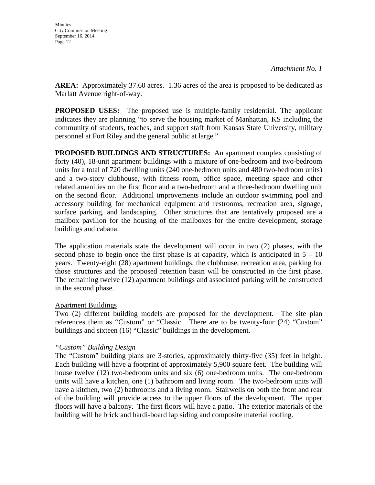**AREA:** Approximately 37.60 acres. 1.36 acres of the area is proposed to be dedicated as Marlatt Avenue right-of-way.

**PROPOSED USES:** The proposed use is multiple-family residential. The applicant indicates they are planning "to serve the housing market of Manhattan, KS including the community of students, teaches, and support staff from Kansas State University, military personnel at Fort Riley and the general public at large."

**PROPOSED BUILDINGS AND STRUCTURES:** An apartment complex consisting of forty (40), 18-unit apartment buildings with a mixture of one-bedroom and two-bedroom units for a total of 720 dwelling units (240 one-bedroom units and 480 two-bedroom units) and a two-story clubhouse, with fitness room, office space, meeting space and other related amenities on the first floor and a two-bedroom and a three-bedroom dwelling unit on the second floor. Additional improvements include an outdoor swimming pool and accessory building for mechanical equipment and restrooms, recreation area, signage, surface parking, and landscaping. Other structures that are tentatively proposed are a mailbox pavilion for the housing of the mailboxes for the entire development, storage buildings and cabana.

The application materials state the development will occur in two (2) phases, with the second phase to begin once the first phase is at capacity, which is anticipated in  $5 - 10$ years. Twenty-eight (28) apartment buildings, the clubhouse, recreation area, parking for those structures and the proposed retention basin will be constructed in the first phase. The remaining twelve (12) apartment buildings and associated parking will be constructed in the second phase.

### Apartment Buildings

Two (2) different building models are proposed for the development. The site plan references them as "Custom" or "Classic. There are to be twenty-four (24) "Custom" buildings and sixteen (16) "Classic" buildings in the development.

### *"Custom" Building Design*

The "Custom" building plans are 3-stories, approximately thirty-five (35) feet in height. Each building will have a footprint of approximately 5,900 square feet. The building will house twelve (12) two-bedroom units and six (6) one-bedroom units. The one-bedroom units will have a kitchen, one (1) bathroom and living room. The two-bedroom units will have a kitchen, two (2) bathrooms and a living room. Stairwells on both the front and rear of the building will provide access to the upper floors of the development. The upper floors will have a balcony. The first floors will have a patio. The exterior materials of the building will be brick and hardi-board lap siding and composite material roofing.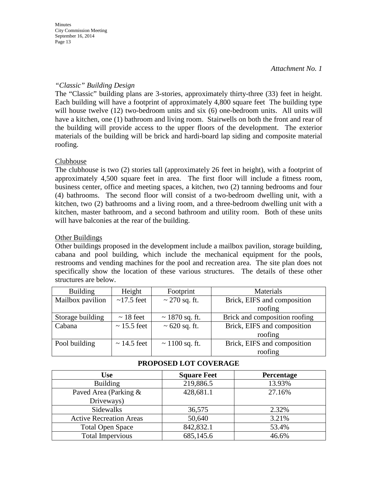*Attachment No. 1*

#### *"Classic" Building Design*

The "Classic" building plans are 3-stories, approximately thirty-three (33) feet in height. Each building will have a footprint of approximately 4,800 square feet The building type will house twelve (12) two-bedroom units and six (6) one-bedroom units. All units will have a kitchen, one (1) bathroom and living room. Stairwells on both the front and rear of the building will provide access to the upper floors of the development. The exterior materials of the building will be brick and hardi-board lap siding and composite material roofing.

#### **Clubhouse**

The clubhouse is two (2) stories tall (approximately 26 feet in height), with a footprint of approximately 4,500 square feet in area. The first floor will include a fitness room, business center, office and meeting spaces, a kitchen, two (2) tanning bedrooms and four (4) bathrooms. The second floor will consist of a two-bedroom dwelling unit, with a kitchen, two (2) bathrooms and a living room, and a three-bedroom dwelling unit with a kitchen, master bathroom, and a second bathroom and utility room. Both of these units will have balconies at the rear of the building.

#### Other Buildings

Other buildings proposed in the development include a mailbox pavilion, storage building, cabana and pool building, which include the mechanical equipment for the pools, restrooms and vending machines for the pool and recreation area. The site plan does not specifically show the location of these various structures. The details of these other structures are below.

| <b>Building</b>  | Height           | Footprint           | Materials                     |
|------------------|------------------|---------------------|-------------------------------|
| Mailbox pavilion | $\sim$ 17.5 feet | $\sim$ 270 sq. ft.  | Brick, EIFS and composition   |
|                  |                  |                     | roofing                       |
| Storage building | $\sim$ 18 feet   | $\sim$ 1870 sq. ft. | Brick and composition roofing |
| Cabana           | $\sim$ 15.5 feet | $\sim 620$ sq. ft.  | Brick, EIFS and composition   |
|                  |                  |                     | roofing                       |
| Pool building    | $\sim$ 14.5 feet | $\sim$ 1100 sq. ft. | Brick, EIFS and composition   |
|                  |                  |                     | roofing                       |

| <b>Use</b>                     | <b>Square Feet</b> | <b>Percentage</b> |
|--------------------------------|--------------------|-------------------|
| <b>Building</b>                | 219,886.5          | 13.93%            |
| Paved Area (Parking &          | 428,681.1          | 27.16%            |
| Driveways)                     |                    |                   |
| Sidewalks                      | 36,575             | 2.32%             |
| <b>Active Recreation Areas</b> | 50,640             | 3.21%             |
| <b>Total Open Space</b>        | 842,832.1          | 53.4%             |
| <b>Total Impervious</b>        | 685,145.6          | 46.6%             |

### **PROPOSED LOT COVERAGE**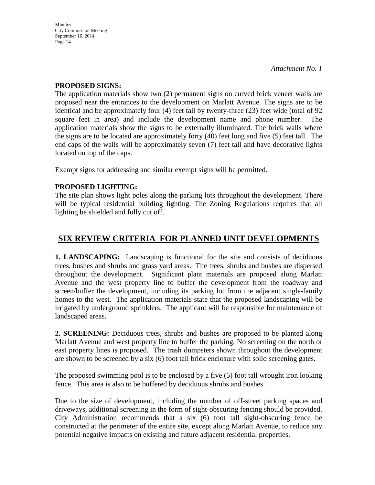#### **PROPOSED SIGNS:**

The application materials show two (2) permanent signs on curved brick veneer walls are proposed near the entrances to the development on Marlatt Avenue. The signs are to be identical and be approximately four (4) feet tall by twenty-three (23) feet wide (total of 92 square feet in area) and include the development name and phone number. The application materials show the signs to be externally illuminated. The brick walls where the signs are to be located are approximately forty (40) feet long and five (5) feet tall. The end caps of the walls will be approximately seven (7) feet tall and have decorative lights located on top of the caps.

Exempt signs for addressing and similar exempt signs will be permitted.

## **PROPOSED LIGHTING:**

The site plan shows light poles along the parking lots throughout the development. There will be typical residential building lighting. The Zoning Regulations requires that all lighting be shielded and fully cut off.

## **SIX REVIEW CRITERIA FOR PLANNED UNIT DEVELOPMENTS**

**1. LANDSCAPING:** Landscaping is functional for the site and consists of deciduous trees, bushes and shrubs and grass yard areas. The trees, shrubs and bushes are dispersed throughout the development. Significant plant materials are proposed along Marlatt Avenue and the west property line to buffer the development from the roadway and screen/buffer the development, including its parking lot from the adjacent single-family homes to the west. The application materials state that the proposed landscaping will be irrigated by underground sprinklers. The applicant will be responsible for maintenance of landscaped areas.

**2. SCREENING:** Deciduous trees, shrubs and bushes are proposed to be planted along Marlatt Avenue and west property line to buffer the parking. No screening on the north or east property lines is proposed. The trash dumpsters shown throughout the development are shown to be screened by a six (6) foot tall brick enclosure with solid screening gates.

The proposed swimming pool is to be enclosed by a five (5) foot tall wrought iron looking fence. This area is also to be buffered by deciduous shrubs and bushes.

Due to the size of development, including the number of off-street parking spaces and driveways, additional screening in the form of sight-obscuring fencing should be provided. City Administration recommends that a six (6) foot tall sight-obscuring fence be constructed at the perimeter of the entire site, except along Marlatt Avenue, to reduce any potential negative impacts on existing and future adjacent residential properties.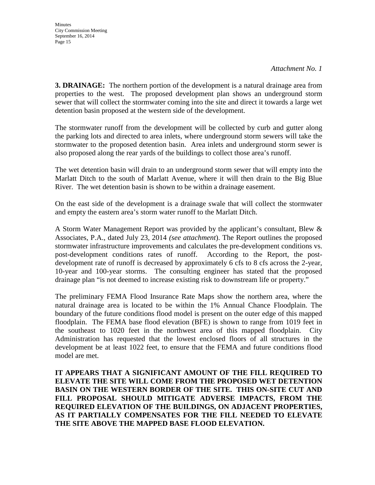**3. DRAINAGE:** The northern portion of the development is a natural drainage area from properties to the west. The proposed development plan shows an underground storm sewer that will collect the stormwater coming into the site and direct it towards a large wet detention basin proposed at the western side of the development.

The stormwater runoff from the development will be collected by curb and gutter along the parking lots and directed to area inlets, where underground storm sewers will take the stormwater to the proposed detention basin. Area inlets and underground storm sewer is also proposed along the rear yards of the buildings to collect those area's runoff.

The wet detention basin will drain to an underground storm sewer that will empty into the Marlatt Ditch to the south of Marlatt Avenue, where it will then drain to the Big Blue River. The wet detention basin is shown to be within a drainage easement.

On the east side of the development is a drainage swale that will collect the stormwater and empty the eastern area's storm water runoff to the Marlatt Ditch.

A Storm Water Management Report was provided by the applicant's consultant, Blew & Associates, P.A., dated July 23, 2014 *(see attachment*). The Report outlines the proposed stormwater infrastructure improvements and calculates the pre-development conditions vs. post-development conditions rates of runoff. According to the Report, the postdevelopment rate of runoff is decreased by approximately 6 cfs to 8 cfs across the 2-year, 10-year and 100-year storms. The consulting engineer has stated that the proposed drainage plan "is not deemed to increase existing risk to downstream life or property."

The preliminary FEMA Flood Insurance Rate Maps show the northern area, where the natural drainage area is located to be within the 1% Annual Chance Floodplain. The boundary of the future conditions flood model is present on the outer edge of this mapped floodplain. The FEMA base flood elevation (BFE) is shown to range from 1019 feet in the southeast to 1020 feet in the northwest area of this mapped floodplain. City Administration has requested that the lowest enclosed floors of all structures in the development be at least 1022 feet, to ensure that the FEMA and future conditions flood model are met.

**IT APPEARS THAT A SIGNIFICANT AMOUNT OF THE FILL REQUIRED TO ELEVATE THE SITE WILL COME FROM THE PROPOSED WET DETENTION BASIN ON THE WESTERN BORDER OF THE SITE. THIS ON-SITE CUT AND FILL PROPOSAL SHOULD MITIGATE ADVERSE IMPACTS, FROM THE REQUIRED ELEVATION OF THE BUILDINGS, ON ADJACENT PROPERTIES, AS IT PARTIALLY COMPENSATES FOR THE FILL NEEDED TO ELEVATE THE SITE ABOVE THE MAPPED BASE FLOOD ELEVATION.**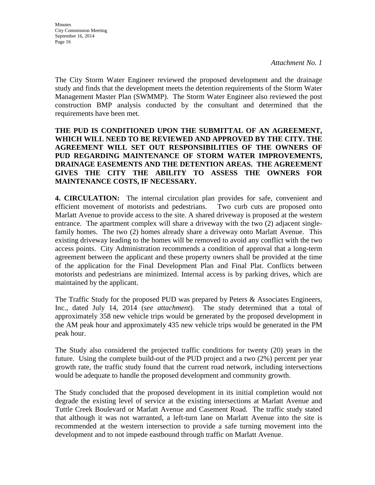The City Storm Water Engineer reviewed the proposed development and the drainage study and finds that the development meets the detention requirements of the Storm Water Management Master Plan (SWMMP). The Storm Water Engineer also reviewed the post construction BMP analysis conducted by the consultant and determined that the requirements have been met.

## **THE PUD IS CONDITIONED UPON THE SUBMITTAL OF AN AGREEMENT, WHICH WILL NEED TO BE REVIEWED AND APPROVED BY THE CITY. THE AGREEMENT WILL SET OUT RESPONSIBILITIES OF THE OWNERS OF PUD REGARDING MAINTENANCE OF STORM WATER IMPROVEMENTS, DRAINAGE EASEMENTS AND THE DETENTION AREAS. THE AGREEMENT GIVES THE CITY THE ABILITY TO ASSESS THE OWNERS FOR MAINTENANCE COSTS, IF NECESSARY.**

**4. CIRCULATION:** The internal circulation plan provides for safe, convenient and efficient movement of motorists and pedestrians. Two curb cuts are proposed onto Marlatt Avenue to provide access to the site. A shared driveway is proposed at the western entrance. The apartment complex will share a driveway with the two (2) adjacent singlefamily homes. The two (2) homes already share a driveway onto Marlatt Avenue. This existing driveway leading to the homes will be removed to avoid any conflict with the two access points. City Administration recommends a condition of approval that a long-term agreement between the applicant and these property owners shall be provided at the time of the application for the Final Development Plan and Final Plat. Conflicts between motorists and pedestrians are minimized. Internal access is by parking drives, which are maintained by the applicant.

The Traffic Study for the proposed PUD was prepared by Peters & Associates Engineers, Inc., dated July 14, 2014 (*see attachment*). The study determined that a total of approximately 358 new vehicle trips would be generated by the proposed development in the AM peak hour and approximately 435 new vehicle trips would be generated in the PM peak hour.

The Study also considered the projected traffic conditions for twenty (20) years in the future. Using the complete build-out of the PUD project and a two (2%) percent per year growth rate, the traffic study found that the current road network, including intersections would be adequate to handle the proposed development and community growth.

The Study concluded that the proposed development in its initial completion would not degrade the existing level of service at the existing intersections at Marlatt Avenue and Tuttle Creek Boulevard or Marlatt Avenue and Casement Road. The traffic study stated that although it was not warranted, a left-turn lane on Marlatt Avenue into the site is recommended at the western intersection to provide a safe turning movement into the development and to not impede eastbound through traffic on Marlatt Avenue.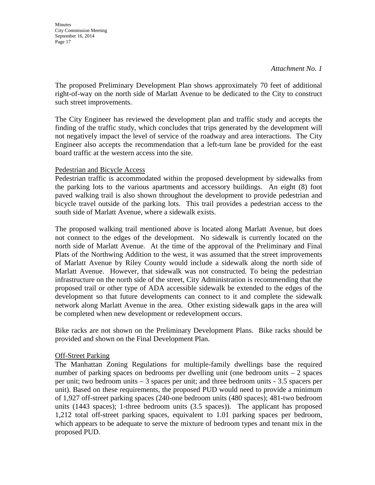**Minutes** City Commission Meeting September 16, 2014 Page 17

The proposed Preliminary Development Plan shows approximately 70 feet of additional right-of-way on the north side of Marlatt Avenue to be dedicated to the City to construct such street improvements.

The City Engineer has reviewed the development plan and traffic study and accepts the finding of the traffic study, which concludes that trips generated by the development will not negatively impact the level of service of the roadway and area interactions. The City Engineer also accepts the recommendation that a left-turn lane be provided for the east board traffic at the western access into the site.

#### Pedestrian and Bicycle Access

Pedestrian traffic is accommodated within the proposed development by sidewalks from the parking lots to the various apartments and accessory buildings. An eight (8) foot paved walking trail is also shown throughout the development to provide pedestrian and bicycle travel outside of the parking lots. This trail provides a pedestrian access to the south side of Marlatt Avenue, where a sidewalk exists.

The proposed walking trail mentioned above is located along Marlatt Avenue, but does not connect to the edges of the development. No sidewalk is currently located on the north side of Marlatt Avenue. At the time of the approval of the Preliminary and Final Plats of the Northwing Addition to the west, it was assumed that the street improvements of Marlatt Avenue by Riley County would include a sidewalk along the north side of Marlatt Avenue. However, that sidewalk was not constructed. To being the pedestrian infrastructure on the north side of the street, City Administration is recommending that the proposed trail or other type of ADA accessible sidewalk be extended to the edges of the development so that future developments can connect to it and complete the sidewalk network along Marlatt Avenue in the area. Other existing sidewalk gaps in the area will be completed when new development or redevelopment occurs.

Bike racks are not shown on the Preliminary Development Plans. Bike racks should be provided and shown on the Final Development Plan.

#### Off-Street Parking

The Manhattan Zoning Regulations for multiple-family dwellings base the required number of parking spaces on bedrooms per dwelling unit (one bedroom units  $-2$  spaces per unit; two bedroom units – 3 spaces per unit; and three bedroom units - 3.5 spacers per unit). Based on these requirements, the proposed PUD would need to provide a minimum of 1,927 off-street parking spaces (240-one bedroom units (480 spaces); 481-two bedroom units (1443 spaces); 1-three bedroom units (3.5 spaces)). The applicant has proposed 1,212 total off-street parking spaces, equivalent to 1.01 parking spaces per bedroom, which appears to be adequate to serve the mixture of bedroom types and tenant mix in the proposed PUD.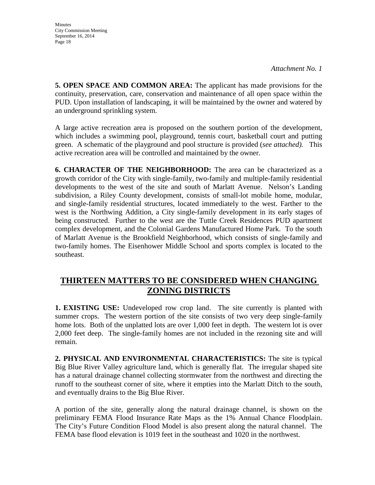**Minutes** City Commission Meeting September 16, 2014 Page 18

**5. OPEN SPACE AND COMMON AREA:** The applicant has made provisions for the continuity, preservation, care, conservation and maintenance of all open space within the PUD. Upon installation of landscaping, it will be maintained by the owner and watered by an underground sprinkling system.

A large active recreation area is proposed on the southern portion of the development, which includes a swimming pool, playground, tennis court, basketball court and putting green. A schematic of the playground and pool structure is provided (*see attached).* This active recreation area will be controlled and maintained by the owner.

**6. CHARACTER OF THE NEIGHBORHOOD:** The area can be characterized as a growth corridor of the City with single-family, two-family and multiple-family residential developments to the west of the site and south of Marlatt Avenue. Nelson's Landing subdivision, a Riley County development, consists of small-lot mobile home, modular, and single-family residential structures, located immediately to the west. Farther to the west is the Northwing Addition, a City single-family development in its early stages of being constructed. Further to the west are the Tuttle Creek Residences PUD apartment complex development, and the Colonial Gardens Manufactured Home Park. To the south of Marlatt Avenue is the Brookfield Neighborhood, which consists of single-family and two-family homes. The Eisenhower Middle School and sports complex is located to the southeast.

## **THIRTEEN MATTERS TO BE CONSIDERED WHEN CHANGING ZONING DISTRICTS**

**1. EXISTING USE:** Undeveloped row crop land. The site currently is planted with summer crops. The western portion of the site consists of two very deep single-family home lots. Both of the unplatted lots are over 1,000 feet in depth. The western lot is over 2,000 feet deep. The single-family homes are not included in the rezoning site and will remain.

**2. PHYSICAL AND ENVIRONMENTAL CHARACTERISTICS:** The site is typical Big Blue River Valley agriculture land, which is generally flat. The irregular shaped site has a natural drainage channel collecting stormwater from the northwest and directing the runoff to the southeast corner of site, where it empties into the Marlatt Ditch to the south, and eventually drains to the Big Blue River.

A portion of the site, generally along the natural drainage channel, is shown on the preliminary FEMA Flood Insurance Rate Maps as the 1% Annual Chance Floodplain. The City's Future Condition Flood Model is also present along the natural channel. The FEMA base flood elevation is 1019 feet in the southeast and 1020 in the northwest.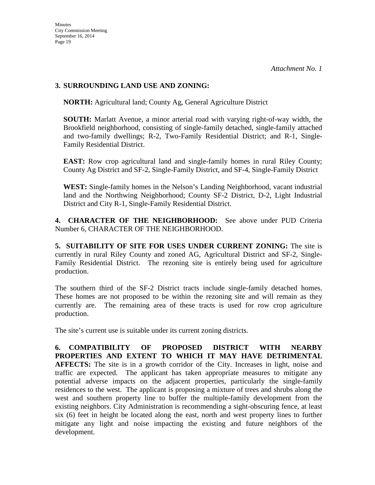## **3. SURROUNDING LAND USE AND ZONING:**

**NORTH:** Agricultural land; County Ag, General Agriculture District

**SOUTH:** Marlatt Avenue, a minor arterial road with varying right-of-way width, the Brookfield neighborhood, consisting of single-family detached, single-family attached and two-family dwellings; R-2, Two-Family Residential District; and R-1, Single-Family Residential District.

**EAST:** Row crop agricultural land and single-family homes in rural Riley County; County Ag District and SF-2, Single-Family District, and SF-4, Single-Family District

**WEST:** Single-family homes in the Nelson's Landing Neighborhood, vacant industrial land and the Northwing Neighborhood; County SF-2 District, D-2, Light Industrial District and City R-1, Single-Family Residential District.

**4. CHARACTER OF THE NEIGHBORHOOD:** See above under PUD Criteria Number 6, CHARACTER OF THE NEIGHBORHOOD.

**5. SUITABILITY OF SITE FOR USES UNDER CURRENT ZONING:** The site is currently in rural Riley County and zoned AG, Agricultural District and SF-2, Single-Family Residential District. The rezoning site is entirely being used for agriculture production.

The southern third of the SF-2 District tracts include single-family detached homes. These homes are not proposed to be within the rezoning site and will remain as they currently are. The remaining area of these tracts is used for row crop agriculture production.

The site's current use is suitable under its current zoning districts.

**6. COMPATIBILITY OF PROPOSED DISTRICT WITH NEARBY PROPERTIES AND EXTENT TO WHICH IT MAY HAVE DETRIMENTAL AFFECTS:** The site is in a growth corridor of the City. Increases in light, noise and traffic are expected. The applicant has taken appropriate measures to mitigate any potential adverse impacts on the adjacent properties, particularly the single-family residences to the west. The applicant is proposing a mixture of trees and shrubs along the west and southern property line to buffer the multiple-family development from the existing neighbors. City Administration is recommending a sight-obscuring fence, at least six (6) feet in height be located along the east, north and west property lines to further mitigate any light and noise impacting the existing and future neighbors of the development.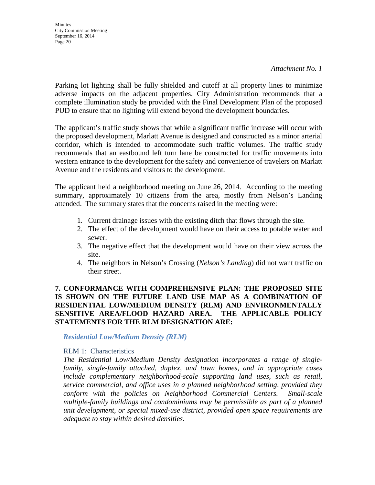*Attachment No. 1*

Parking lot lighting shall be fully shielded and cutoff at all property lines to minimize adverse impacts on the adjacent properties. City Administration recommends that a complete illumination study be provided with the Final Development Plan of the proposed PUD to ensure that no lighting will extend beyond the development boundaries.

The applicant's traffic study shows that while a significant traffic increase will occur with the proposed development, Marlatt Avenue is designed and constructed as a minor arterial corridor, which is intended to accommodate such traffic volumes. The traffic study recommends that an eastbound left turn lane be constructed for traffic movements into western entrance to the development for the safety and convenience of travelers on Marlatt Avenue and the residents and visitors to the development.

The applicant held a neighborhood meeting on June 26, 2014. According to the meeting summary, approximately 10 citizens from the area, mostly from Nelson's Landing attended. The summary states that the concerns raised in the meeting were:

- 1. Current drainage issues with the existing ditch that flows through the site.
- 2. The effect of the development would have on their access to potable water and sewer.
- 3. The negative effect that the development would have on their view across the site.
- 4. The neighbors in Nelson's Crossing (*Nelson's Landing*) did not want traffic on their street.

### **7. CONFORMANCE WITH COMPREHENSIVE PLAN: THE PROPOSED SITE IS SHOWN ON THE FUTURE LAND USE MAP AS A COMBINATION OF RESIDENTIAL LOW/MEDIUM DENSITY (RLM) AND ENVIRONMENTALLY SENSITIVE AREA/FLOOD HAZARD AREA. THE APPLICABLE POLICY STATEMENTS FOR THE RLM DESIGNATION ARE:**

*Residential Low/Medium Density (RLM)*

#### RLM 1: Characteristics

*The Residential Low/Medium Density designation incorporates a range of singlefamily, single-family attached, duplex, and town homes, and in appropriate cases include complementary neighborhood-scale supporting land uses, such as retail, service commercial, and office uses in a planned neighborhood setting, provided they conform with the policies on Neighborhood Commercial Centers. Small-scale multiple-family buildings and condominiums may be permissible as part of a planned unit development, or special mixed-use district, provided open space requirements are adequate to stay within desired densities.*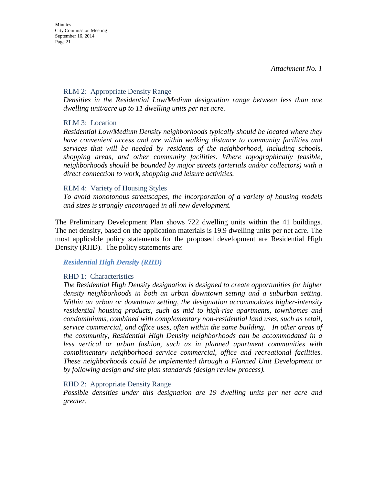#### RLM 2: Appropriate Density Range

*Densities in the Residential Low/Medium designation range between less than one dwelling unit/acre up to 11 dwelling units per net acre.* 

#### RLM 3: Location

*Residential Low/Medium Density neighborhoods typically should be located where they have convenient access and are within walking distance to community facilities and services that will be needed by residents of the neighborhood, including schools, shopping areas, and other community facilities. Where topographically feasible, neighborhoods should be bounded by major streets (arterials and/or collectors) with a direct connection to work, shopping and leisure activities.* 

#### RLM 4: Variety of Housing Styles

*To avoid monotonous streetscapes, the incorporation of a variety of housing models and sizes is strongly encouraged in all new development.* 

The Preliminary Development Plan shows 722 dwelling units within the 41 buildings. The net density, based on the application materials is 19.9 dwelling units per net acre. The most applicable policy statements for the proposed development are Residential High Density (RHD). The policy statements are:

#### *Residential High Density (RHD)*

#### RHD 1: Characteristics

*The Residential High Density designation is designed to create opportunities for higher density neighborhoods in both an urban downtown setting and a suburban setting. Within an urban or downtown setting, the designation accommodates higher-intensity residential housing products, such as mid to high-rise apartments, townhomes and condominiums, combined with complementary non-residential land uses, such as retail, service commercial, and office uses, often within the same building. In other areas of the community, Residential High Density neighborhoods can be accommodated in a less vertical or urban fashion, such as in planned apartment communities with complimentary neighborhood service commercial, office and recreational facilities. These neighborhoods could be implemented through a Planned Unit Development or by following design and site plan standards (design review process).* 

#### RHD 2: Appropriate Density Range

*Possible densities under this designation are 19 dwelling units per net acre and greater.*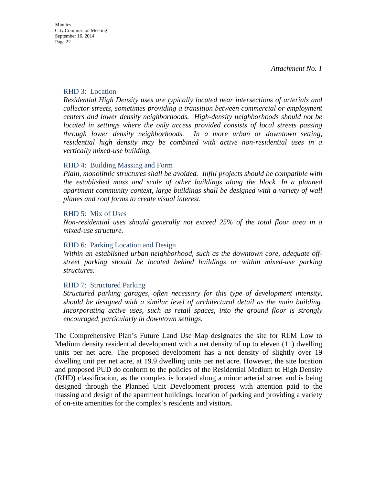#### RHD 3: Location

*Residential High Density uses are typically located near intersections of arterials and collector streets, sometimes providing a transition between commercial or employment centers and lower density neighborhoods. High-density neighborhoods should not be located in settings where the only access provided consists of local streets passing through lower density neighborhoods. In a more urban or downtown setting, residential high density may be combined with active non-residential uses in a vertically mixed-use building.* 

#### RHD 4: Building Massing and Form

*Plain, monolithic structures shall be avoided. Infill projects should be compatible with the established mass and scale of other buildings along the block. In a planned apartment community context, large buildings shall be designed with a variety of wall planes and roof forms to create visual interest.* 

#### RHD 5: Mix of Uses

*Non-residential uses should generally not exceed 25% of the total floor area in a mixed-use structure.*

#### RHD 6: Parking Location and Design

*Within an established urban neighborhood, such as the downtown core, adequate offstreet parking should be located behind buildings or within mixed-use parking structures.*

#### RHD 7: Structured Parking

*Structured parking garages, often necessary for this type of development intensity, should be designed with a similar level of architectural detail as the main building. Incorporating active uses, such as retail spaces, into the ground floor is strongly encouraged, particularly in downtown settings.*

The Comprehensive Plan's Future Land Use Map designates the site for RLM Low to Medium density residential development with a net density of up to eleven (11) dwelling units per net acre. The proposed development has a net density of slightly over 19 dwelling unit per net acre, at 19.9 dwelling units per net acre. However, the site location and proposed PUD do conform to the policies of the Residential Medium to High Density (RHD) classification, as the complex is located along a minor arterial street and is being designed through the Planned Unit Development process with attention paid to the massing and design of the apartment buildings, location of parking and providing a variety of on-site amenities for the complex's residents and visitors.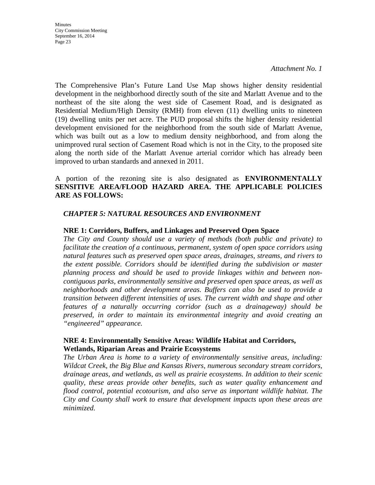*Attachment No. 1*

The Comprehensive Plan's Future Land Use Map shows higher density residential development in the neighborhood directly south of the site and Marlatt Avenue and to the northeast of the site along the west side of Casement Road, and is designated as Residential Medium/High Density (RMH) from eleven (11) dwelling units to nineteen (19) dwelling units per net acre. The PUD proposal shifts the higher density residential development envisioned for the neighborhood from the south side of Marlatt Avenue, which was built out as a low to medium density neighborhood, and from along the unimproved rural section of Casement Road which is not in the City, to the proposed site along the north side of the Marlatt Avenue arterial corridor which has already been improved to urban standards and annexed in 2011.

#### A portion of the rezoning site is also designated as **ENVIRONMENTALLY SENSITIVE AREA/FLOOD HAZARD AREA. THE APPLICABLE POLICIES ARE AS FOLLOWS:**

#### *CHAPTER 5: NATURAL RESOURCES AND ENVIRONMENT*

#### **NRE 1: Corridors, Buffers, and Linkages and Preserved Open Space**

*The City and County should use a variety of methods (both public and private) to facilitate the creation of a continuous, permanent, system of open space corridors using natural features such as preserved open space areas, drainages, streams, and rivers to the extent possible. Corridors should be identified during the subdivision or master planning process and should be used to provide linkages within and between noncontiguous parks, environmentally sensitive and preserved open space areas, as well as neighborhoods and other development areas. Buffers can also be used to provide a transition between different intensities of uses. The current width and shape and other features of a naturally occurring corridor (such as a drainageway) should be preserved, in order to maintain its environmental integrity and avoid creating an "engineered" appearance.*

#### **NRE 4: Environmentally Sensitive Areas: Wildlife Habitat and Corridors, Wetlands, Riparian Areas and Prairie Ecosystems**

*The Urban Area is home to a variety of environmentally sensitive areas, including: Wildcat Creek, the Big Blue and Kansas Rivers, numerous secondary stream corridors, drainage areas, and wetlands, as well as prairie ecosystems. In addition to their scenic quality, these areas provide other benefits, such as water quality enhancement and flood control, potential ecotourism, and also serve as important wildlife habitat. The City and County shall work to ensure that development impacts upon these areas are minimized.*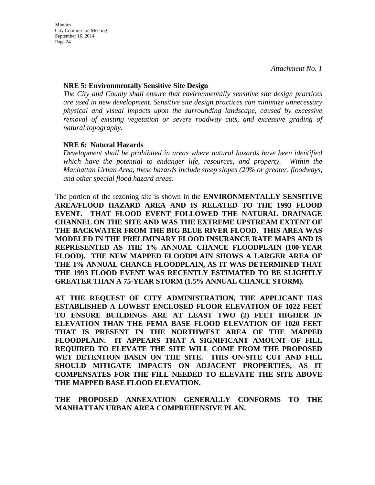#### **NRE 5: Environmentally Sensitive Site Design**

*The City and County shall ensure that environmentally sensitive site design practices are used in new development. Sensitive site design practices can minimize unnecessary physical and visual impacts upon the surrounding landscape, caused by excessive removal of existing vegetation or severe roadway cuts, and excessive grading of natural topography.*

### **NRE 6: Natural Hazards**

*Development shall be prohibited in areas where natural hazards have been identified which have the potential to endanger life, resources, and property. Within the Manhattan Urban Area, these hazards include steep slopes (20% or greater, floodways, and other special flood hazard areas.*

The portion of the rezoning site is shown in the **ENVIRONMENTALLY SENSITIVE AREA/FLOOD HAZARD AREA AND IS RELATED TO THE 1993 FLOOD EVENT. THAT FLOOD EVENT FOLLOWED THE NATURAL DRAINAGE CHANNEL ON THE SITE AND WAS THE EXTREME UPSTREAM EXTENT OF THE BACKWATER FROM THE BIG BLUE RIVER FLOOD. THIS AREA WAS MODELED IN THE PRELIMINARY FLOOD INSURANCE RATE MAPS AND IS REPRESENTED AS THE 1% ANNUAL CHANCE FLOODPLAIN (100-YEAR FLOOD). THE NEW MAPPED FLOODPLAIN SHOWS A LARGER AREA OF THE 1% ANNUAL CHANCE FLOODPLAIN, AS IT WAS DETERMINED THAT THE 1993 FLOOD EVENT WAS RECENTLY ESTIMATED TO BE SLIGHTLY GREATER THAN A 75-YEAR STORM (1.5% ANNUAL CHANCE STORM).**

**AT THE REQUEST OF CITY ADMINISTRATION, THE APPLICANT HAS ESTABLISHED A LOWEST ENCLOSED FLOOR ELEVATION OF 1022 FEET TO ENSURE BUILDINGS ARE AT LEAST TWO (2) FEET HIGHER IN ELEVATION THAN THE FEMA BASE FLOOD ELEVATION OF 1020 FEET THAT IS PRESENT IN THE NORTHWEST AREA OF THE MAPPED FLOODPLAIN. IT APPEARS THAT A SIGNIFICANT AMOUNT OF FILL REQUIRED TO ELEVATE THE SITE WILL COME FROM THE PROPOSED WET DETENTION BASIN ON THE SITE. THIS ON-SITE CUT AND FILL SHOULD MITIGATE IMPACTS ON ADJACENT PROPERTIES, AS IT COMPENSATES FOR THE FILL NEEDED TO ELEVATE THE SITE ABOVE THE MAPPED BASE FLOOD ELEVATION.**

**THE PROPOSED ANNEXATION GENERALLY CONFORMS TO THE MANHATTAN URBAN AREA COMPREHENSIVE PLAN.**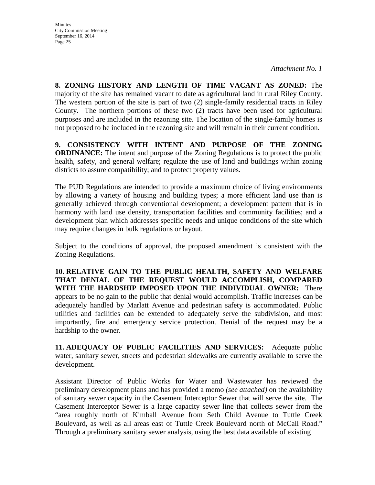**8. ZONING HISTORY AND LENGTH OF TIME VACANT AS ZONED:** The majority of the site has remained vacant to date as agricultural land in rural Riley County. The western portion of the site is part of two (2) single-family residential tracts in Riley County. The northern portions of these two (2) tracts have been used for agricultural purposes and are included in the rezoning site. The location of the single-family homes is not proposed to be included in the rezoning site and will remain in their current condition.

**9. CONSISTENCY WITH INTENT AND PURPOSE OF THE ZONING ORDINANCE:** The intent and purpose of the Zoning Regulations is to protect the public health, safety, and general welfare; regulate the use of land and buildings within zoning districts to assure compatibility; and to protect property values.

The PUD Regulations are intended to provide a maximum choice of living environments by allowing a variety of housing and building types; a more efficient land use than is generally achieved through conventional development; a development pattern that is in harmony with land use density, transportation facilities and community facilities; and a development plan which addresses specific needs and unique conditions of the site which may require changes in bulk regulations or layout.

Subject to the conditions of approval, the proposed amendment is consistent with the Zoning Regulations.

**10. RELATIVE GAIN TO THE PUBLIC HEALTH, SAFETY AND WELFARE THAT DENIAL OF THE REQUEST WOULD ACCOMPLISH, COMPARED WITH THE HARDSHIP IMPOSED UPON THE INDIVIDUAL OWNER:** There appears to be no gain to the public that denial would accomplish. Traffic increases can be adequately handled by Marlatt Avenue and pedestrian safety is accommodated. Public utilities and facilities can be extended to adequately serve the subdivision, and most importantly, fire and emergency service protection. Denial of the request may be a hardship to the owner.

**11. ADEQUACY OF PUBLIC FACILITIES AND SERVICES:** Adequate public water, sanitary sewer, streets and pedestrian sidewalks are currently available to serve the development.

Assistant Director of Public Works for Water and Wastewater has reviewed the preliminary development plans and has provided a memo *(see attached)* on the availability of sanitary sewer capacity in the Casement Interceptor Sewer that will serve the site. The Casement Interceptor Sewer is a large capacity sewer line that collects sewer from the "area roughly north of Kimball Avenue from Seth Child Avenue to Tuttle Creek Boulevard, as well as all areas east of Tuttle Creek Boulevard north of McCall Road." Through a preliminary sanitary sewer analysis, using the best data available of existing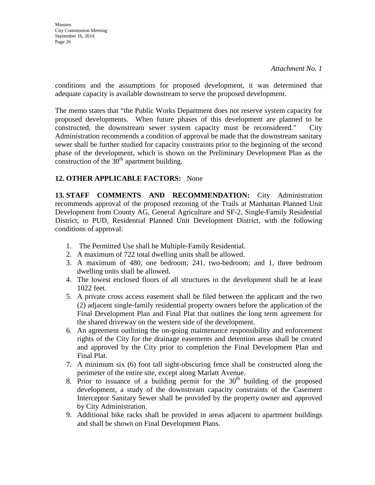conditions and the assumptions for proposed development, it was determined that adequate capacity is available downstream to serve the proposed development.

The memo states that "the Public Works Department does not reserve system capacity for proposed developments. When future phases of this development are planned to be constructed, the downstream sewer system capacity must be reconsidered." City Administration recommends a condition of approval be made that the downstream sanitary sewer shall be further studied for capacity constraints prior to the beginning of the second phase of the development, which is shown on the Preliminary Development Plan as the construction of the  $30<sup>th</sup>$  apartment building.

## **12. OTHER APPLICABLE FACTORS:** None

**13. STAFF COMMENTS AND RECOMMENDATION:** City Administration recommends approval of the proposed rezoning of the Trails at Manhattan Planned Unit Development from County AG, General Agriculture and SF-2, Single-Family Residential District, to PUD, Residential Planned Unit Development District, with the following conditions of approval:

- 1. The Permitted Use shall be Multiple-Family Residential.
- 2. A maximum of 722 total dwelling units shall be allowed.
- 3. A maximum of 480, one bedroom; 241, two-bedroom; and 1, three bedroom dwelling units shall be allowed.
- 4. The lowest enclosed floors of all structures in the development shall be at least 1022 feet.
- 5. A private cross access easement shall be filed between the applicant and the two (2) adjacent single-family residential property owners before the application of the Final Development Plan and Final Plat that outlines the long term agreement for the shared driveway on the western side of the development.
- 6. An agreement outlining the on-going maintenance responsibility and enforcement rights of the City for the drainage easements and detention areas shall be created and approved by the City prior to completion the Final Development Plan and Final Plat.
- 7. A minimum six (6) foot tall sight-obscuring fence shall be constructed along the perimeter of the entire site, except along Marlatt Avenue.
- 8. Prior to issuance of a building permit for the  $30<sup>th</sup>$  building of the proposed development, a study of the downstream capacity constraints of the Casement Interceptor Sanitary Sewer shall be provided by the property owner and approved by City Administration.
- 9. Additional bike racks shall be provided in areas adjacent to apartment buildings and shall be shown on Final Development Plans.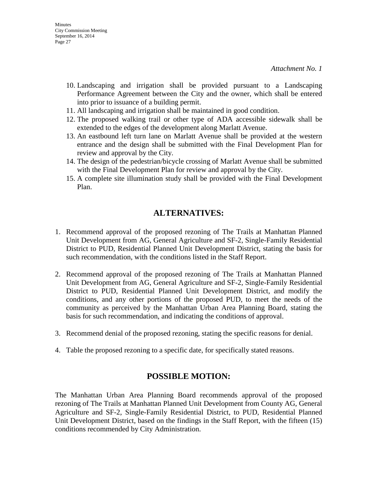- 10. Landscaping and irrigation shall be provided pursuant to a Landscaping Performance Agreement between the City and the owner, which shall be entered into prior to issuance of a building permit.
- 11. All landscaping and irrigation shall be maintained in good condition.
- 12. The proposed walking trail or other type of ADA accessible sidewalk shall be extended to the edges of the development along Marlatt Avenue.
- 13. An eastbound left turn lane on Marlatt Avenue shall be provided at the western entrance and the design shall be submitted with the Final Development Plan for review and approval by the City.
- 14. The design of the pedestrian/bicycle crossing of Marlatt Avenue shall be submitted with the Final Development Plan for review and approval by the City.
- 15. A complete site illumination study shall be provided with the Final Development Plan.

## **ALTERNATIVES:**

- 1. Recommend approval of the proposed rezoning of The Trails at Manhattan Planned Unit Development from AG, General Agriculture and SF-2, Single-Family Residential District to PUD, Residential Planned Unit Development District, stating the basis for such recommendation, with the conditions listed in the Staff Report.
- 2. Recommend approval of the proposed rezoning of The Trails at Manhattan Planned Unit Development from AG, General Agriculture and SF-2, Single-Family Residential District to PUD, Residential Planned Unit Development District, and modify the conditions, and any other portions of the proposed PUD, to meet the needs of the community as perceived by the Manhattan Urban Area Planning Board, stating the basis for such recommendation, and indicating the conditions of approval.
- 3. Recommend denial of the proposed rezoning, stating the specific reasons for denial.
- 4. Table the proposed rezoning to a specific date, for specifically stated reasons.

## **POSSIBLE MOTION:**

The Manhattan Urban Area Planning Board recommends approval of the proposed rezoning of The Trails at Manhattan Planned Unit Development from County AG, General Agriculture and SF-2, Single-Family Residential District, to PUD, Residential Planned Unit Development District, based on the findings in the Staff Report, with the fifteen (15) conditions recommended by City Administration.